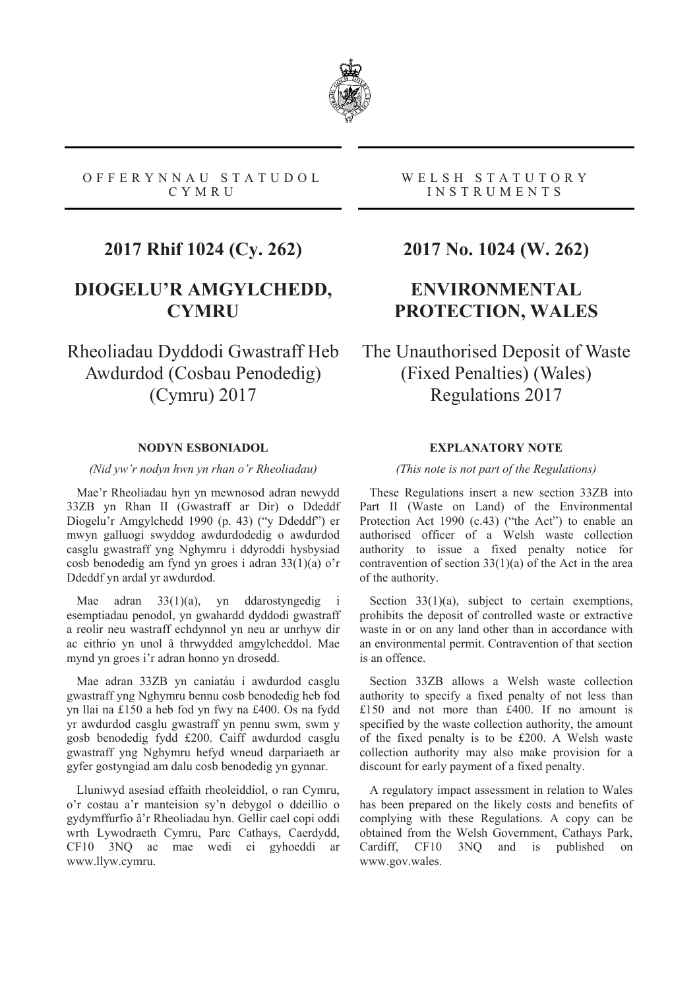

#### OFFERYNNAU STATUDOL CYMRU

# **2017 Rhif 1024 (Cy. 262)**

### **DIOGELU'R AMGYLCHEDD, CYMRU**

Rheoliadau Dyddodi Gwastraff Heb Awdurdod (Cosbau Penodedig) (Cymru) 2017

#### **NODYN ESBONIADOL**

*(Nid yw'r nodyn hwn yn rhan o'r Rheoliadau)* 

Mae'r Rheoliadau hyn yn mewnosod adran newydd 33ZB yn Rhan II (Gwastraff ar Dir) o Ddeddf Diogelu'r Amgylchedd 1990 (p. 43) ("y Ddeddf") er mwyn galluogi swyddog awdurdodedig o awdurdod casglu gwastraff yng Nghymru i ddyroddi hysbysiad cosb benodedig am fynd yn groes i adran 33(1)(a) o'r Ddeddf yn ardal yr awdurdod.

Mae adran 33(1)(a), yn ddarostyngedig i esemptiadau penodol, yn gwahardd dyddodi gwastraff a reolir neu wastraff echdynnol yn neu ar unrhyw dir ac eithrio yn unol â thrwydded amgylcheddol. Mae mynd yn groes i'r adran honno yn drosedd.

Mae adran 33ZB yn caniatáu i awdurdod casglu gwastraff yng Nghymru bennu cosb benodedig heb fod yn llai na £150 a heb fod yn fwy na £400. Os na fydd yr awdurdod casglu gwastraff yn pennu swm, swm y gosb benodedig fydd £200. Caiff awdurdod casglu gwastraff yng Nghymru hefyd wneud darpariaeth ar gyfer gostyngiad am dalu cosb benodedig yn gynnar.

Lluniwyd asesiad effaith rheoleiddiol, o ran Cymru, o'r costau a'r manteision sy'n debygol o ddeillio o gydymffurfio â'r Rheoliadau hyn. Gellir cael copi oddi wrth Lywodraeth Cymru, Parc Cathays, Caerdydd, CF10 3NQ ac mae wedi ei gyhoeddi ar www.llyw.cymru.

#### WELSH STATUTORY INSTRUMENTS

### **2017 No. 1024 (W. 262)**

## **ENVIRONMENTAL PROTECTION, WALES**

The Unauthorised Deposit of Waste (Fixed Penalties) (Wales) Regulations 2017

### **EXPLANATORY NOTE**

#### *(This note is not part of the Regulations)*

These Regulations insert a new section 33ZB into Part II (Waste on Land) of the Environmental Protection Act 1990 (c.43) ("the Act") to enable an authorised officer of a Welsh waste collection authority to issue a fixed penalty notice for contravention of section 33(1)(a) of the Act in the area of the authority.

Section  $33(1)(a)$ , subject to certain exemptions, prohibits the deposit of controlled waste or extractive waste in or on any land other than in accordance with an environmental permit. Contravention of that section is an offence.

Section 33ZB allows a Welsh waste collection authority to specify a fixed penalty of not less than £150 and not more than £400. If no amount is specified by the waste collection authority, the amount of the fixed penalty is to be £200. A Welsh waste collection authority may also make provision for a discount for early payment of a fixed penalty.

A regulatory impact assessment in relation to Wales has been prepared on the likely costs and benefits of complying with these Regulations. A copy can be obtained from the Welsh Government, Cathays Park, Cardiff, CF10 3NQ and is published on www.gov.wales.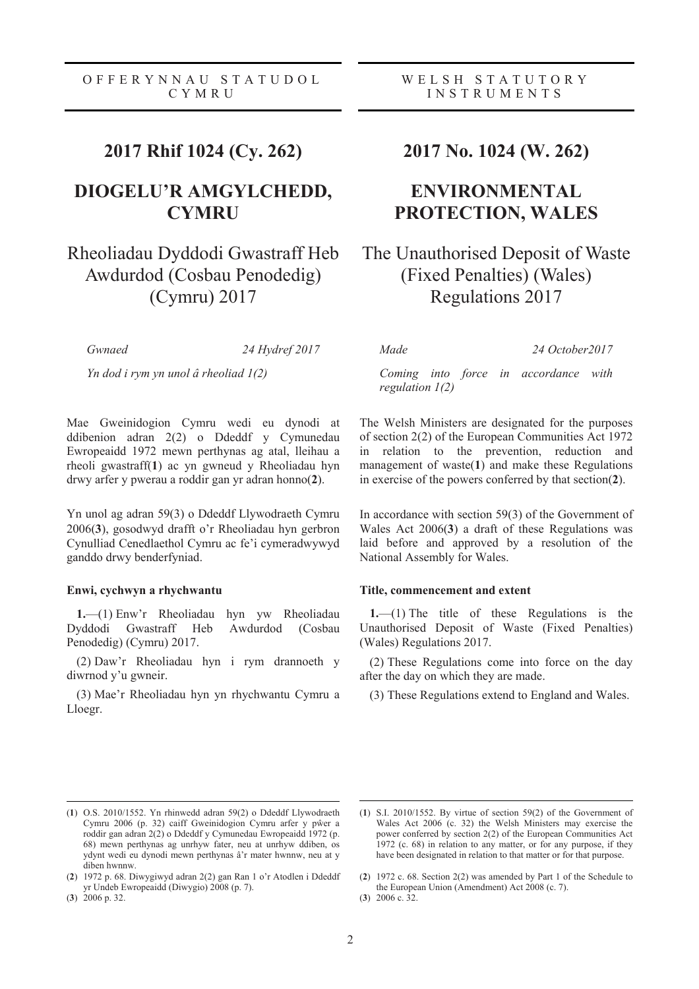### **2017 Rhif 1024 (Cy. 262)**

### **DIOGELU'R AMGYLCHEDD, CYMRU**

# Rheoliadau Dyddodi Gwastraff Heb Awdurdod (Cosbau Penodedig) (Cymru) 2017

*Gwnaed 24 Hydref 2017* 

*Yn dod i rym yn unol â rheoliad 1(2)* 

Mae Gweinidogion Cymru wedi eu dynodi at ddibenion adran 2(2) o Ddeddf y Cymunedau Ewropeaidd 1972 mewn perthynas ag atal, lleihau a rheoli gwastraff(**1**) ac yn gwneud y Rheoliadau hyn drwy arfer y pwerau a roddir gan yr adran honno(**2**).

Yn unol ag adran 59(3) o Ddeddf Llywodraeth Cymru 2006(**3**), gosodwyd drafft o'r Rheoliadau hyn gerbron Cynulliad Cenedlaethol Cymru ac fe'i cymeradwywyd ganddo drwy benderfyniad.

#### **Enwi, cychwyn a rhychwantu**

**1.**—(1) Enw'r Rheoliadau hyn yw Rheoliadau Dyddodi Gwastraff Heb Awdurdod (Cosbau Penodedig) (Cymru) 2017.

(2) Daw'r Rheoliadau hyn i rym drannoeth y diwrnod y'u gwneir.

(3) Mae'r Rheoliadau hyn yn rhychwantu Cymru a Lloegr.

### **2017 No. 1024 (W. 262)**

## **ENVIRONMENTAL PROTECTION, WALES**

## The Unauthorised Deposit of Waste (Fixed Penalties) (Wales) Regulations 2017

*Made 24 October2017* 

*Coming into force in accordance with regulation 1(2)* 

The Welsh Ministers are designated for the purposes of section 2(2) of the European Communities Act 1972 in relation to the prevention, reduction and management of waste(**1**) and make these Regulations in exercise of the powers conferred by that section(**2**).

In accordance with section 59(3) of the Government of Wales Act 2006(**3**) a draft of these Regulations was laid before and approved by a resolution of the National Assembly for Wales.

#### **Title, commencement and extent**

**1.**—(1) The title of these Regulations is the Unauthorised Deposit of Waste (Fixed Penalties) (Wales) Regulations 2017.

(2) These Regulations come into force on the day after the day on which they are made.

(3) These Regulations extend to England and Wales.

(**3**) 2006 p. 32.

 $\overline{a}$ 

 $\overline{a}$ 

<sup>(</sup>**1**) O.S. 2010/1552. Yn rhinwedd adran 59(2) o Ddeddf Llywodraeth Cymru 2006 (p. 32) caiff Gweinidogion Cymru arfer y pŵer a roddir gan adran 2(2) o Ddeddf y Cymunedau Ewropeaidd 1972 (p. 68) mewn perthynas ag unrhyw fater, neu at unrhyw ddiben, os ydynt wedi eu dynodi mewn perthynas â'r mater hwnnw, neu at y diben hwnnw.

<sup>(</sup>**2**) 1972 p. 68. Diwygiwyd adran 2(2) gan Ran 1 o'r Atodlen i Ddeddf yr Undeb Ewropeaidd (Diwygio) 2008 (p. 7).

<sup>(</sup>**1**) S.I. 2010/1552. By virtue of section 59(2) of the Government of Wales Act 2006 (c. 32) the Welsh Ministers may exercise the power conferred by section 2(2) of the European Communities Act 1972 (c. 68) in relation to any matter, or for any purpose, if they have been designated in relation to that matter or for that purpose.

<sup>(</sup>**2**) 1972 c. 68. Section 2(2) was amended by Part 1 of the Schedule to the European Union (Amendment) Act 2008 (c. 7).

<sup>(</sup>**3**) 2006 c. 32.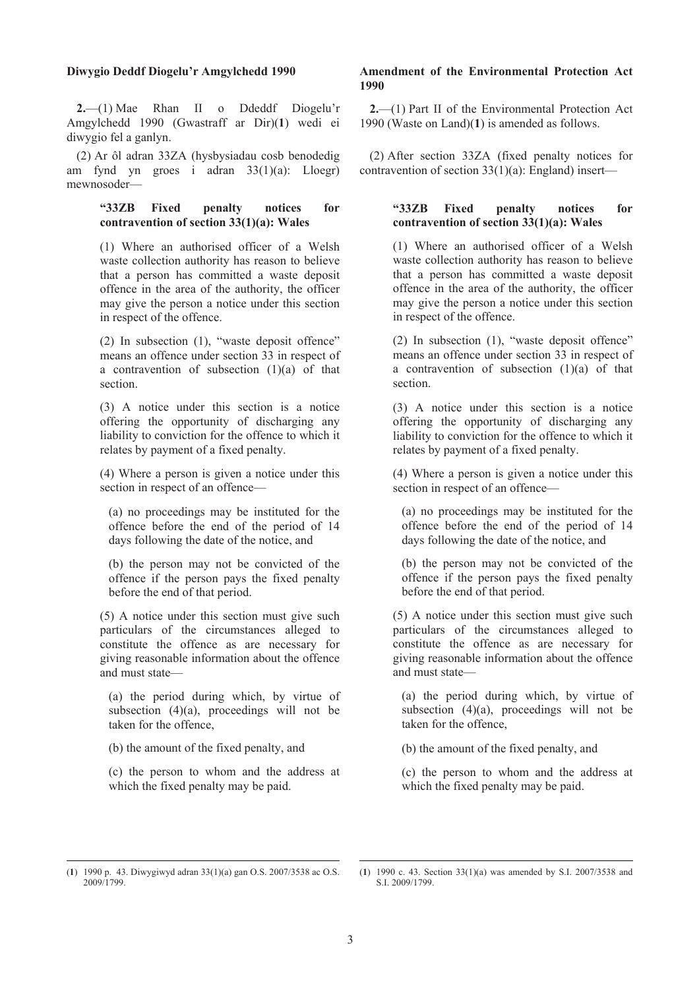#### **Diwygio Deddf Diogelu'r Amgylchedd 1990**

**2.**—(1) Mae Rhan II o Ddeddf Diogelu'r Amgylchedd 1990 (Gwastraff ar Dir)(**1**) wedi ei diwygio fel a ganlyn.

(2) Ar ôl adran 33ZA (hysbysiadau cosb benodedig am fynd yn groes i adran 33(1)(a): Lloegr) mewnosoder—

#### **"33ZB Fixed penalty notices for contravention of section 33(1)(a): Wales**

(1) Where an authorised officer of a Welsh waste collection authority has reason to believe that a person has committed a waste deposit offence in the area of the authority, the officer may give the person a notice under this section in respect of the offence.

(2) In subsection (1), "waste deposit offence" means an offence under section 33 in respect of a contravention of subsection  $(1)(a)$  of that section.

(3) A notice under this section is a notice offering the opportunity of discharging any liability to conviction for the offence to which it relates by payment of a fixed penalty.

(4) Where a person is given a notice under this section in respect of an offence—

(a) no proceedings may be instituted for the offence before the end of the period of 14 days following the date of the notice, and

(b) the person may not be convicted of the offence if the person pays the fixed penalty before the end of that period.

(5) A notice under this section must give such particulars of the circumstances alleged to constitute the offence as are necessary for giving reasonable information about the offence and must state—

(a) the period during which, by virtue of subsection  $(4)(a)$ , proceedings will not be taken for the offence,

(b) the amount of the fixed penalty, and

(c) the person to whom and the address at which the fixed penalty may be paid.

#### **Amendment of the Environmental Protection Act 1990**

**2.**—(1) Part II of the Environmental Protection Act 1990 (Waste on Land)(**1**) is amended as follows.

(2) After section 33ZA (fixed penalty notices for contravention of section 33(1)(a): England) insert—

#### **"33ZB Fixed penalty notices for contravention of section 33(1)(a): Wales**

(1) Where an authorised officer of a Welsh waste collection authority has reason to believe that a person has committed a waste deposit offence in the area of the authority, the officer may give the person a notice under this section in respect of the offence.

(2) In subsection (1), "waste deposit offence" means an offence under section 33 in respect of a contravention of subsection (1)(a) of that section.

(3) A notice under this section is a notice offering the opportunity of discharging any liability to conviction for the offence to which it relates by payment of a fixed penalty.

(4) Where a person is given a notice under this section in respect of an offence—

(a) no proceedings may be instituted for the offence before the end of the period of 14 days following the date of the notice, and

(b) the person may not be convicted of the offence if the person pays the fixed penalty before the end of that period.

(5) A notice under this section must give such particulars of the circumstances alleged to constitute the offence as are necessary for giving reasonable information about the offence and must state—

(a) the period during which, by virtue of subsection  $(4)(a)$ , proceedings will not be taken for the offence,

(b) the amount of the fixed penalty, and

(c) the person to whom and the address at which the fixed penalty may be paid.

 $\overline{a}$ 

<sup>(</sup>**1**) 1990 p. 43. Diwygiwyd adran 33(1)(a) gan O.S. 2007/3538 ac O.S. 2009/1799.

 $\overline{a}$ (**1**) 1990 c. 43. Section 33(1)(a) was amended by S.I. 2007/3538 and S.I. 2009/1799.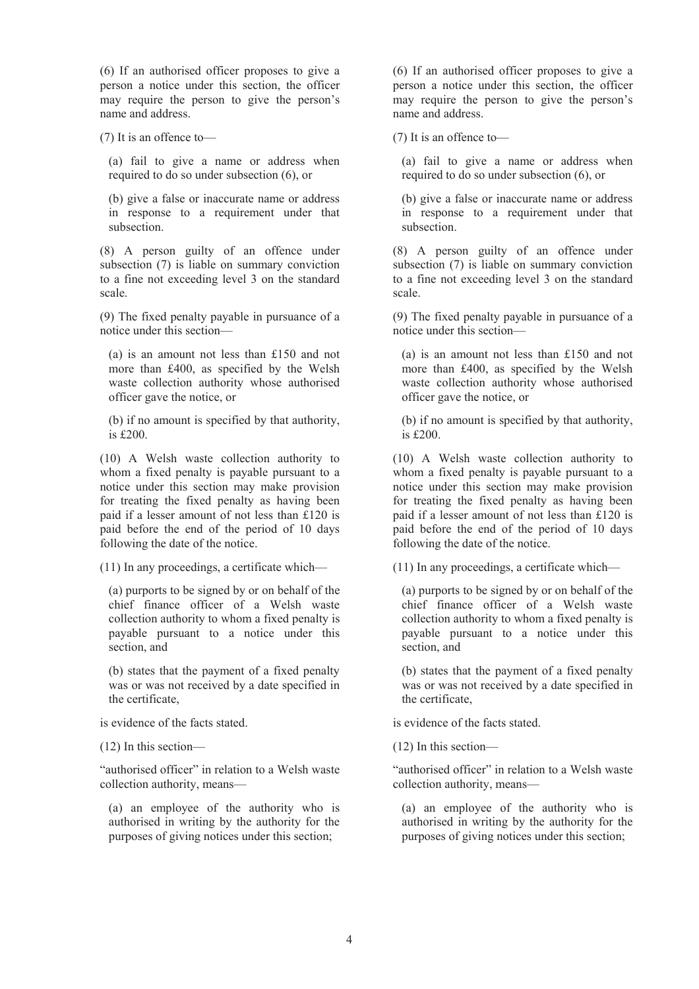(6) If an authorised officer proposes to give a person a notice under this section, the officer may require the person to give the person's name and address.

(7) It is an offence to—

(a) fail to give a name or address when required to do so under subsection (6), or

(b) give a false or inaccurate name or address in response to a requirement under that subsection.

(8) A person guilty of an offence under subsection (7) is liable on summary conviction to a fine not exceeding level 3 on the standard scale.

(9) The fixed penalty payable in pursuance of a notice under this section—

(a) is an amount not less than £150 and not more than £400, as specified by the Welsh waste collection authority whose authorised officer gave the notice, or

(b) if no amount is specified by that authority, is £200.

(10) A Welsh waste collection authority to whom a fixed penalty is payable pursuant to a notice under this section may make provision for treating the fixed penalty as having been paid if a lesser amount of not less than £120 is paid before the end of the period of 10 days following the date of the notice.

(11) In any proceedings, a certificate which—

(a) purports to be signed by or on behalf of the chief finance officer of a Welsh waste collection authority to whom a fixed penalty is payable pursuant to a notice under this section, and

(b) states that the payment of a fixed penalty was or was not received by a date specified in the certificate,

is evidence of the facts stated.

(12) In this section—

"authorised officer" in relation to a Welsh waste collection authority, means—

(a) an employee of the authority who is authorised in writing by the authority for the purposes of giving notices under this section;

(6) If an authorised officer proposes to give a person a notice under this section, the officer may require the person to give the person's name and address.

(7) It is an offence to—

(a) fail to give a name or address when required to do so under subsection (6), or

(b) give a false or inaccurate name or address in response to a requirement under that subsection.

(8) A person guilty of an offence under subsection (7) is liable on summary conviction to a fine not exceeding level 3 on the standard scale.

(9) The fixed penalty payable in pursuance of a notice under this section—

(a) is an amount not less than £150 and not more than £400, as specified by the Welsh waste collection authority whose authorised officer gave the notice, or

(b) if no amount is specified by that authority, is £200.

(10) A Welsh waste collection authority to whom a fixed penalty is payable pursuant to a notice under this section may make provision for treating the fixed penalty as having been paid if a lesser amount of not less than £120 is paid before the end of the period of 10 days following the date of the notice.

(11) In any proceedings, a certificate which—

(a) purports to be signed by or on behalf of the chief finance officer of a Welsh waste collection authority to whom a fixed penalty is payable pursuant to a notice under this section, and

(b) states that the payment of a fixed penalty was or was not received by a date specified in the certificate,

is evidence of the facts stated.

(12) In this section—

"authorised officer" in relation to a Welsh waste collection authority, means—

(a) an employee of the authority who is authorised in writing by the authority for the purposes of giving notices under this section;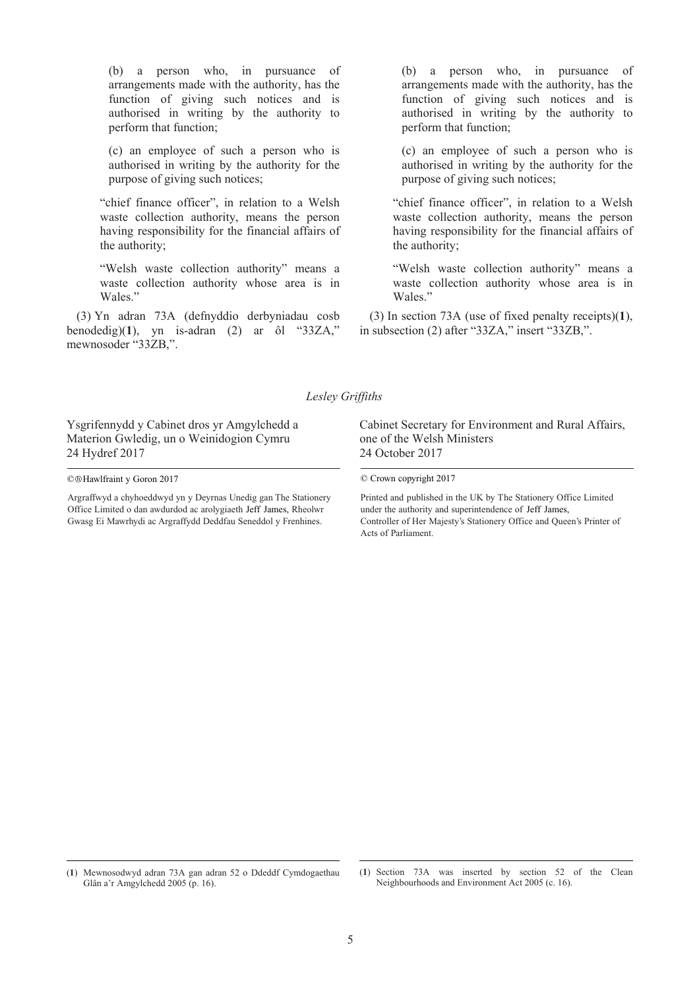(b) a person who, in pursuance of arrangements made with the authority, has the function of giving such notices and is authorised in writing by the authority to perform that function;

(c) an employee of such a person who is authorised in writing by the authority for the purpose of giving such notices;

"chief finance officer", in relation to a Welsh waste collection authority, means the person having responsibility for the financial affairs of the authority;

"Welsh waste collection authority" means a waste collection authority whose area is in Wales."

(3) Yn adran 73A (defnyddio derbyniadau cosb benodedig)(**1**), yn is-adran (2) ar ôl "33ZA," mewnosoder "33ZB,".

(b) a person who, in pursuance of arrangements made with the authority, has the function of giving such notices and is authorised in writing by the authority to perform that function;

(c) an employee of such a person who is authorised in writing by the authority for the purpose of giving such notices;

"chief finance officer", in relation to a Welsh waste collection authority, means the person having responsibility for the financial affairs of the authority;

"Welsh waste collection authority" means a waste collection authority whose area is in Wales."

(3) In section 73A (use of fixed penalty receipts)(**1**), in subsection (2) after "33ZA," insert "33ZB,".

#### *Lesley Griffiths*

Ysgrifennydd y Cabinet dros yr Amgylchedd a Materion Gwledig, un o Weinidogion Cymru 24 Hydref 2017

 $\overline{a}$ 

Argraffwyd a chyhoeddwyd yn y Deyrnas Unedig gan The Stationery Office Limited o dan awdurdod ac arolygiaeth Jeff James, Rheolwr Gwasg Ei Mawrhydi ac Argraffydd Deddfau Seneddol y Frenhines.

Cabinet Secretary for Environment and Rural Affairs, one of the Welsh Ministers 24 October 2017

Printed and published in the UK by The Stationery Office Limited Jeff James, Rheolwr under the authority and superintendence of Jeff James, Controller of Her Majesty's Stationery Office and Queen's Printer of Acts of Parliament.

<sup>© ®</sup> Hawlfraint y Goron 2017

C Crown copyright 2017

<sup>(</sup>**1**) Mewnosodwyd adran 73A gan adran 52 o Ddeddf Cymdogaethau Glân a'r Amgylchedd 2005 (p. 16).

 $\overline{a}$ (**1**) Section 73A was inserted by section 52 of the Clean Neighbourhoods and Environment Act 2005 (c. 16).